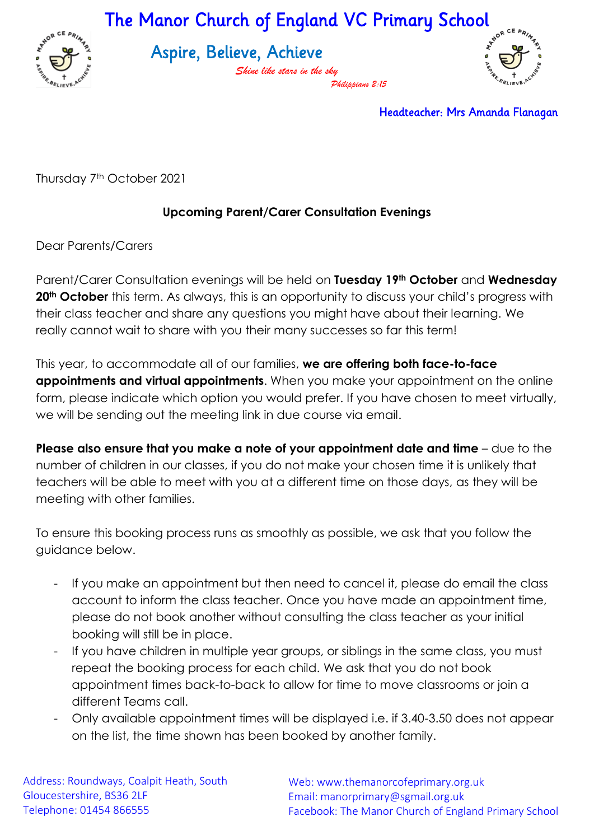The Manor Church of England VC Primary School



Aspire, Believe, Achieve

*Shine like stars in the sky Philippians 2:15*



Headteacher: Mrs Amanda Flanagan

Thursday 7th October 2021

## **Upcoming Parent/Carer Consultation Evenings**

Dear Parents/Carers

Parent/Carer Consultation evenings will be held on **Tuesday 19th October** and **Wednesday 20th October** this term. As always, this is an opportunity to discuss your child's progress with their class teacher and share any questions you might have about their learning. We really cannot wait to share with you their many successes so far this term!

This year, to accommodate all of our families, **we are offering both face-to-face appointments and virtual appointments**. When you make your appointment on the online form, please indicate which option you would prefer. If you have chosen to meet virtually, we will be sending out the meeting link in due course via email.

**Please also ensure that you make a note of your appointment date and time** – due to the number of children in our classes, if you do not make your chosen time it is unlikely that teachers will be able to meet with you at a different time on those days, as they will be meeting with other families.

To ensure this booking process runs as smoothly as possible, we ask that you follow the guidance below.

- If you make an appointment but then need to cancel it, please do email the class account to inform the class teacher. Once you have made an appointment time, please do not book another without consulting the class teacher as your initial booking will still be in place.
- If you have children in multiple year groups, or siblings in the same class, you must repeat the booking process for each child. We ask that you do not book appointment times back-to-back to allow for time to move classrooms or join a different Teams call.
- Only available appointment times will be displayed i.e. if 3.40-3.50 does not appear on the list, the time shown has been booked by another family.

Address: Roundways, Coalpit Heath, South Gloucestershire, BS36 2LF Telephone: 01454 866555

Web: www.themanorcofeprimary.org.uk Email: manorprimary@sgmail.org.uk Facebook: The Manor Church of England Primary School